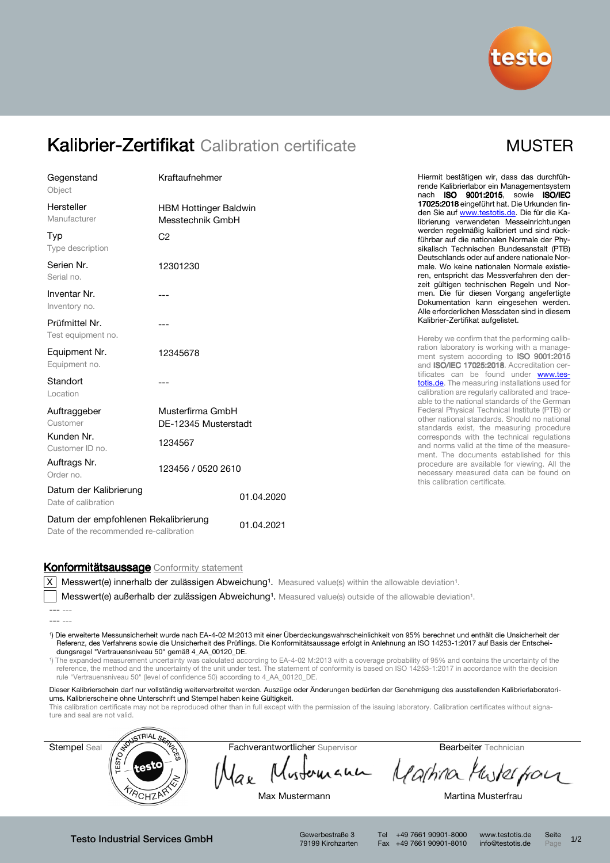

# Kalibrier-Zertifikat Calibration certificate MUSTER

| Gegenstand<br>Object                                                           | Kraftaufnehmer                                   |            |
|--------------------------------------------------------------------------------|--------------------------------------------------|------------|
| Hersteller<br>Manufacturer                                                     | <b>HBM Hottinger Baldwin</b><br>Messtechnik GmbH |            |
| Typ<br>Type description                                                        | C <sub>2</sub>                                   |            |
| Serien Nr.<br>Serial no.                                                       | 12301230                                         |            |
| Inventar Nr.<br>Inventory no.                                                  |                                                  |            |
| Prüfmittel Nr.<br>Test equipment no.                                           | ---                                              |            |
| Equipment Nr.<br>Equipment no.                                                 | 12345678                                         |            |
| Standort<br>Location                                                           |                                                  |            |
| Auftraggeber<br>Customer                                                       | Musterfirma GmbH<br>DE-12345 Musterstadt         |            |
| Kunden Nr.<br>Customer ID no.                                                  | 1234567                                          |            |
| Auftrags Nr.<br>Order no.                                                      | 123456 / 0520 2610                               |            |
| Datum der Kalibrierung<br>Date of calibration                                  |                                                  | 01.04.2020 |
| Datum der empfohlenen Rekalibrierung<br>Date of the recommended re-calibration |                                                  | 01.04.2021 |

Hiermit bestätigen wir, dass das durchführende Kalibrierlabor ein Managementsystem nach ISO 9001:2015, sowie ISO/IEC 17025:2018 eingeführt hat. Die Urkunden finden Sie auf www.testotis.de. Die für die Kalibrierung verwendeten Messeinrichtungen werden regelmäßig kalibriert und sind rückführbar auf die nationalen Normale der Physikalisch Technischen Bundesanstalt (PTB) Deutschlands oder auf andere nationale Normale. Wo keine nationalen Normale existieren, entspricht das Messverfahren den derzeit gültigen technischen Regeln und Normen. Die für diesen Vorgang angefertigte Dokumentation kann eingesehen werden. Alle erforderlichen Messdaten sind in diesem Kalibrier-Zertifikat aufgelistet.

Hereby we confirm that the performing calibration laboratory is working with a management system according to **ISO 9001:2015** and ISO/IEC 17025:2018. Accreditation certificates can be found under www.testotis.de. The measuring installations used for calibration are regularly calibrated and traceable to the national standards of the German Federal Physical Technical Institute (PTB) or other national standards. Should no national standards exist, the measuring procedure corresponds with the technical regulations and norms valid at the time of the measurement. The documents established for this procedure are available for viewing. All the necessary measured data can be found on this calibration certificate.

### Konformitätsaussage Conformity statement

X Messwert(e) innerhalb der zulässigen Abweichung<sup>1</sup>. Measured value(s) within the allowable deviation<sup>1</sup>.

Messwert(e) außerhalb der zulässigen Abweichung<sup>1</sup>. Measured value(s) outside of the allowable deviation<sup>1</sup>.

¹) Die erweiterte Messunsicherheit wurde nach EA-4-02 M:2013 mit einer Überdeckungswahrscheinlichkeit von 95% berechnet und enthält die Unsicherheit der Referenz, des Verfahrens sowie die Unsicherheit des Prüflings. Die Konformitätsaussage erfolgt in Anlehnung an ISO 14253-1:2017 auf Basis der Entscheidungsregel "Vertrauensniveau 50" gemäß 4\_AA\_00120\_DE.

¹) The expanded measurement uncertainty was calculated according to EA-4-02 M:2013 with a coverage probability of 95% and contains the uncertainty of the reference, the method and the uncertainty of the unit under test. The statement of conformity is based on ISO 14253-1:2017 in accordance with the decision rule "Vertrauensniveau 50" (level of confidence 50) according to 4\_AA\_00120\_DE.

Dieser Kalibrierschein darf nur vollständig weiterverbreitet werden. Auszüge oder Änderungen bedürfen der Genehmigung des ausstellenden Kalibrierlaboratoriums. Kalibrierscheine ohne Unterschrift und Stempel haben keine Gültigkeit.

This calibration certificate may not be reproduced other than in full except with the permission of the issuing laboratory. Calibration certificates without signature and seal are not valid.



łaĸ

Mustomann Martina Musterpon

Max Mustermann **Martina Musterfrau** 

Testo Industrial Services GmbH Gewerbestraße 3

79199 Kirchzarten

Tel +49 7661 90901-8000 www.testotis.de Seite 1/2 Fax +49 7661 90901-8010 info@testotis.de Page

<sup>---</sup> ---